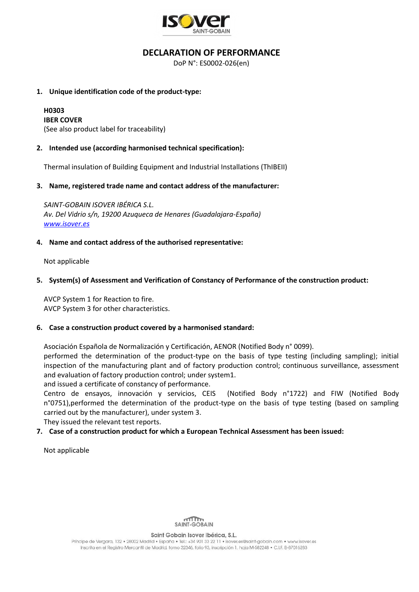

## **DECLARATION OF PERFORMANCE**

DoP N°: ES0002-026(en)

#### **1. Unique identification code of the product-type:**

# **H0303**

**IBER COVER** (See also product label for traceability)

## **2. Intended use (according harmonised technical specification):**

Thermal insulation of Building Equipment and Industrial Installations (ThIBEII)

## **3. Name, registered trade name and contact address of the manufacturer:**

*SAINT-GOBAIN ISOVER IBÉRICA S.L. Av. Del Vidrio s/n, 19200 Azuqueca de Henares (Guadalajara-España) [www.isover.es](http://www.isover.es/)*

## **4. Name and contact address of the authorised representative:**

Not applicable

## **5. System(s) of Assessment and Verification of Constancy of Performance of the construction product:**

AVCP System 1 for Reaction to fire. AVCP System 3 for other characteristics.

#### **6. Case a construction product covered by a harmonised standard:**

Asociación Española de Normalización y Certificación, AENOR (Notified Body n° 0099).

performed the determination of the product-type on the basis of type testing (including sampling); initial inspection of the manufacturing plant and of factory production control; continuous surveillance, assessment and evaluation of factory production control; under system1.

and issued a certificate of constancy of performance.

Centro de ensayos, innovación y servicios, CEIS (Notified Body n°1722) and FIW (Notified Body n°0751),performed the determination of the product-type on the basis of type testing (based on sampling carried out by the manufacturer), under system 3.

They issued the relevant test reports.

## **7. Case of a construction product for which a European Technical Assessment has been issued:**

Not applicable



Saint Gobain Isover Ibérica, S.L.

Príncipe de Vergara, 132 · 28002 Madrid · España · Tel.: +34 901 33 22 11 · isover.es@saint-aobain.com · www.isover.es Inscrita en el Registro Mercantil de Madrid, tomo 32346, folio 93, inscripción 1, hoja M-582248 · C.I.F. B-87016283